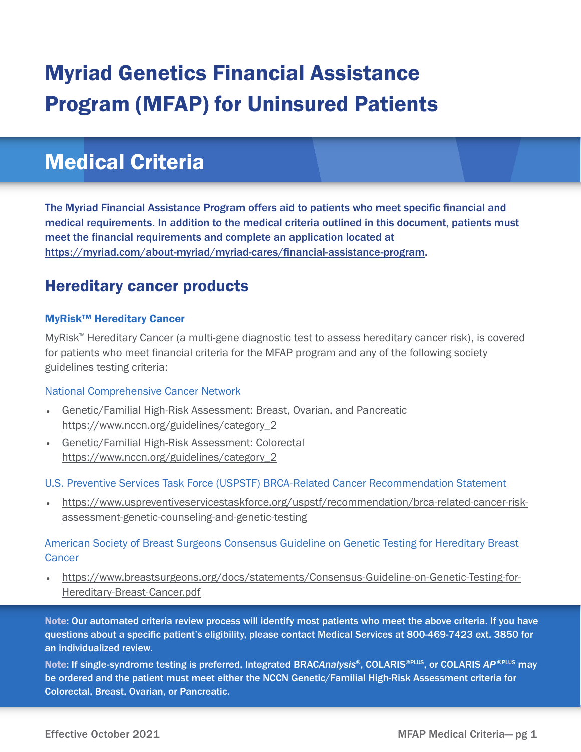# Myriad Genetics Financial Assistance Program (MFAP) for Uninsured Patients

# Medical Criteria

The Myriad Financial Assistance Program offers aid to patients who meet specific financial and medical requirements. In addition to the medical criteria outlined in this document, patients must meet the financial requirements and complete an application located at https://myriad.com/about-myriad/myriad-cares/financial-assistance-program.

# Hereditary cancer products

# MyRisk™ Hereditary Cancer

MyRisk™ Hereditary Cancer (a multi-gene diagnostic test to assess hereditary cancer risk), is covered for patients who meet financial criteria for the MFAP program and any of the following society guidelines testing criteria:

# National Comprehensive Cancer Network

- Genetic/Familial High-Risk Assessment: Breast, Ovarian, and Pancreatic https://www.nccn.org/guidelines/category\_2
- Genetic/Familial High-Risk Assessment: Colorectal https://www.nccn.org/guidelines/category\_2

# U.S. Preventive Services Task Force (USPSTF) BRCA-Related Cancer Recommendation Statement

• https://www.uspreventiveservicestaskforce.org/uspstf/recommendation/brca-related-cancer-riskassessment-genetic-counseling-and-genetic-testing

# American Society of Breast Surgeons Consensus Guideline on Genetic Testing for Hereditary Breast **Cancer**

• https://www.breastsurgeons.org/docs/statements/Consensus-Guideline-on-Genetic-Testing-for-Hereditary-Breast-Cancer.pdf

Note: Our automated criteria review process will identify most patients who meet the above criteria. If you have questions about a specific patient's eligibility, please contact Medical Services at 800-469-7423 ext. 3850 for an individualized review.

Note: If single-syndrome testing is preferred, Integrated BRAC*Analysis*®, COLARIS®PLUS, or COLARIS *AP* ®PLUS may be ordered and the patient must meet either the NCCN Genetic/Familial High-Risk Assessment criteria for Colorectal, Breast, Ovarian, or Pancreatic.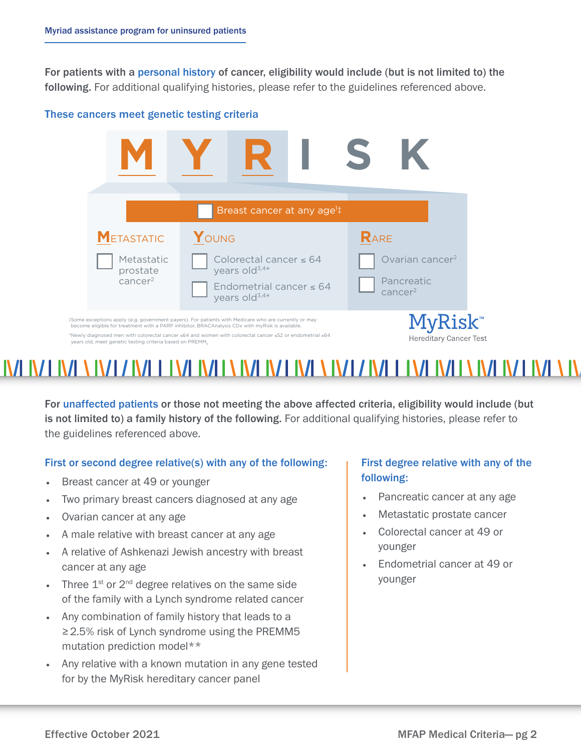For patients with a personal history of cancer, eligibility would include (but is not limited to) the following. For additional qualifying histories, please refer to the guidelines referenced above.

### These cancers meet genetic testing criteria **These Cancers Meet Genetic Testing Criteria**



# A A IVE AN EAN ALLE NA FAILT NA FAILT NA FAILT NA FAILT NA FAILT NA FAILT.

For unaffected patients or those not meeting the above affected criteria, eligibility would include (but is not limited to) a family history of the following. For additional qualifying histories, please refer to the guidelines referenced above.

# First or second degree relative(s) with any of the following:

- Breast cancer at 49 or younger
- Two primary breast cancers diagnosed at any age
- Ovarian cancer at any age
- A male relative with breast cancer at any age
- A relative of Ashkenazi Jewish ancestry with breast cancer at any age
- Three  $1^{st}$  or  $2^{nd}$  degree relatives on the same side of the family with a Lynch syndrome related cancer
- Any combination of family history that leads to a ≥2.5% risk of Lynch syndrome using the PREMM5 mutation prediction model\*\*
- Any relative with a known mutation in any gene tested for by the MyRisk hereditary cancer panel

# First degree relative with any of the following:

- Pancreatic cancer at any age
- Metastatic prostate cancer
- Colorectal cancer at 49 or younger
- Endometrial cancer at 49 or younger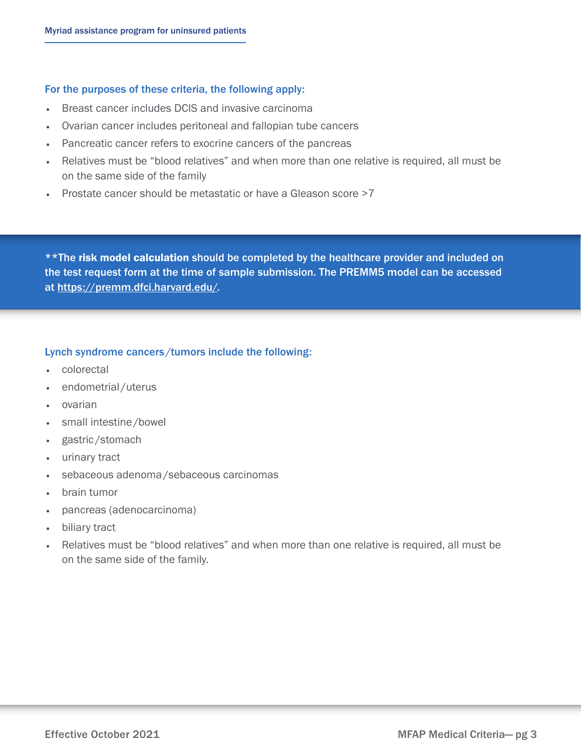### For the purposes of these criteria, the following apply:

- Breast cancer includes DCIS and invasive carcinoma
- Ovarian cancer includes peritoneal and fallopian tube cancers
- Pancreatic cancer refers to exocrine cancers of the pancreas
- Relatives must be "blood relatives" and when more than one relative is required, all must be on the same side of the family
- Prostate cancer should be metastatic or have a Gleason score >7

\*\*The risk model calculation should be completed by the healthcare provider and included on the test request form at the time of sample submission. The PREMM5 model can be accessed at https://premm.dfci.harvard.edu/.

# Lynch syndrome cancers /tumors include the following:

- colorectal
- endometrial /uterus
- ovarian
- small intestine/bowel
- gastric /stomach
- urinary tract
- sebaceous adenoma/sebaceous carcinomas
- brain tumor
- pancreas (adenocarcinoma)
- biliary tract
- Relatives must be "blood relatives" and when more than one relative is required, all must be on the same side of the family.